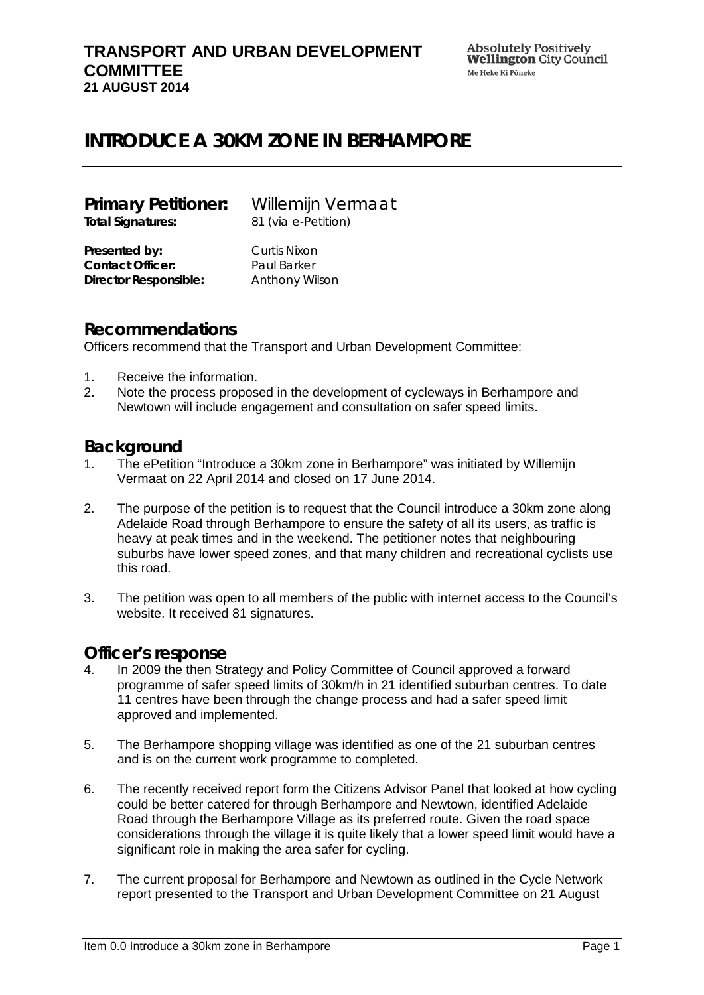#### **TRANSPORT AND URBAN DEVELOPMENT COMMITTEE 21 AUGUST 2014**

# **INTRODUCE A 30KM ZONE IN BERHAMPORE**

| <b>Primary Petitioner:</b> | Willemijn Vermaat   |
|----------------------------|---------------------|
| <b>Total Signatures:</b>   | 81 (via e-Petition) |
| Presented by:              | Curtis Nixon        |
| <b>Contact Officer:</b>    | Paul Barker         |

**Director Responsible:** Anthony Wilson

### **Recommendations**

Officers recommend that the Transport and Urban Development Committee:

- 1. Receive the information.
- 2. Note the process proposed in the development of cycleways in Berhampore and Newtown will include engagement and consultation on safer speed limits.

# **Background**

- 1. The ePetition "Introduce a 30km zone in Berhampore" was initiated by Willemijn Vermaat on 22 April 2014 and closed on 17 June 2014.
- 2. The purpose of the petition is to request that the Council introduce a 30km zone along Adelaide Road through Berhampore to ensure the safety of all its users, as traffic is heavy at peak times and in the weekend. The petitioner notes that neighbouring suburbs have lower speed zones, and that many children and recreational cyclists use this road.
- 3. The petition was open to all members of the public with internet access to the Council's website. It received 81 signatures.

# **Officer's response**

- 4. In 2009 the then Strategy and Policy Committee of Council approved a forward programme of safer speed limits of 30km/h in 21 identified suburban centres. To date 11 centres have been through the change process and had a safer speed limit approved and implemented.
- 5. The Berhampore shopping village was identified as one of the 21 suburban centres and is on the current work programme to completed.
- 6. The recently received report form the Citizens Advisor Panel that looked at how cycling could be better catered for through Berhampore and Newtown, identified Adelaide Road through the Berhampore Village as its preferred route. Given the road space considerations through the village it is quite likely that a lower speed limit would have a significant role in making the area safer for cycling.
- 7. The current proposal for Berhampore and Newtown as outlined in the Cycle Network report presented to the Transport and Urban Development Committee on 21 August